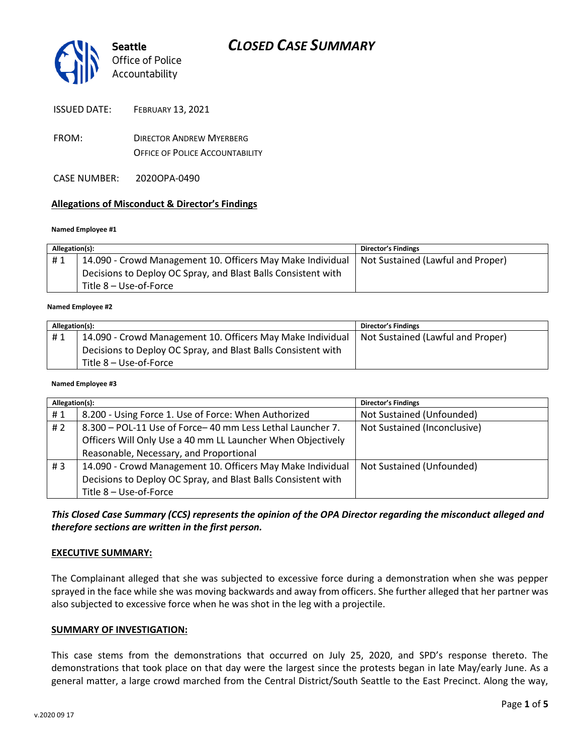

- FROM: DIRECTOR ANDREW MYERBERG OFFICE OF POLICE ACCOUNTABILITY
- CASE NUMBER: 2020OPA-0490

#### **Allegations of Misconduct & Director's Findings**

#### **Named Employee #1**

| Allegation(s): |                                                               | Director's Findings               |
|----------------|---------------------------------------------------------------|-----------------------------------|
| #1             | 14.090 - Crowd Management 10. Officers May Make Individual    | Not Sustained (Lawful and Proper) |
|                | Decisions to Deploy OC Spray, and Blast Balls Consistent with |                                   |
|                | Title 8 – Use-of-Force                                        |                                   |
|                |                                                               |                                   |

#### **Named Employee #2**

| Allegation(s): |                                                               | Director's Findings               |
|----------------|---------------------------------------------------------------|-----------------------------------|
| #1             | 14.090 - Crowd Management 10. Officers May Make Individual    | Not Sustained (Lawful and Proper) |
|                | Decisions to Deploy OC Spray, and Blast Balls Consistent with |                                   |
|                | Title 8 – Use-of-Force                                        |                                   |

#### **Named Employee #3**

| Allegation(s): |                                                               | Director's Findings          |
|----------------|---------------------------------------------------------------|------------------------------|
| #1             | 8.200 - Using Force 1. Use of Force: When Authorized          | Not Sustained (Unfounded)    |
| #2             | 8.300 - POL-11 Use of Force-40 mm Less Lethal Launcher 7.     | Not Sustained (Inconclusive) |
|                | Officers Will Only Use a 40 mm LL Launcher When Objectively   |                              |
|                | Reasonable, Necessary, and Proportional                       |                              |
| # $3$          | 14.090 - Crowd Management 10. Officers May Make Individual    | Not Sustained (Unfounded)    |
|                | Decisions to Deploy OC Spray, and Blast Balls Consistent with |                              |
|                | Title 8 - Use-of-Force                                        |                              |

*This Closed Case Summary (CCS) represents the opinion of the OPA Director regarding the misconduct alleged and therefore sections are written in the first person.* 

#### **EXECUTIVE SUMMARY:**

The Complainant alleged that she was subjected to excessive force during a demonstration when she was pepper sprayed in the face while she was moving backwards and away from officers. She further alleged that her partner was also subjected to excessive force when he was shot in the leg with a projectile.

#### **SUMMARY OF INVESTIGATION:**

This case stems from the demonstrations that occurred on July 25, 2020, and SPD's response thereto. The demonstrations that took place on that day were the largest since the protests began in late May/early June. As a general matter, a large crowd marched from the Central District/South Seattle to the East Precinct. Along the way,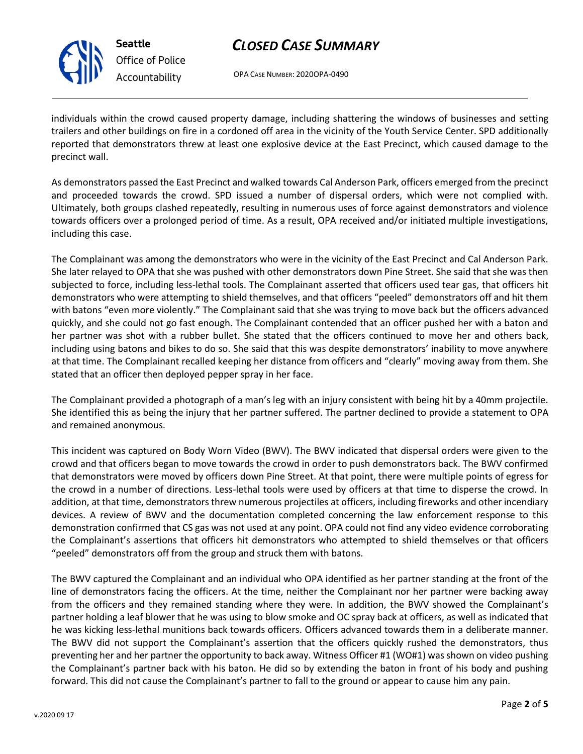

**Seattle** *Office of Police Accountability*

# *CLOSED CASE SUMMARY*

OPA CASE NUMBER: 2020OPA-0490

individuals within the crowd caused property damage, including shattering the windows of businesses and setting trailers and other buildings on fire in a cordoned off area in the vicinity of the Youth Service Center. SPD additionally reported that demonstrators threw at least one explosive device at the East Precinct, which caused damage to the precinct wall.

As demonstrators passed the East Precinct and walked towards Cal Anderson Park, officers emerged from the precinct and proceeded towards the crowd. SPD issued a number of dispersal orders, which were not complied with. Ultimately, both groups clashed repeatedly, resulting in numerous uses of force against demonstrators and violence towards officers over a prolonged period of time. As a result, OPA received and/or initiated multiple investigations, including this case.

The Complainant was among the demonstrators who were in the vicinity of the East Precinct and Cal Anderson Park. She later relayed to OPA that she was pushed with other demonstrators down Pine Street. She said that she was then subjected to force, including less-lethal tools. The Complainant asserted that officers used tear gas, that officers hit demonstrators who were attempting to shield themselves, and that officers "peeled" demonstrators off and hit them with batons "even more violently." The Complainant said that she was trying to move back but the officers advanced quickly, and she could not go fast enough. The Complainant contended that an officer pushed her with a baton and her partner was shot with a rubber bullet. She stated that the officers continued to move her and others back, including using batons and bikes to do so. She said that this was despite demonstrators' inability to move anywhere at that time. The Complainant recalled keeping her distance from officers and "clearly" moving away from them. She stated that an officer then deployed pepper spray in her face.

The Complainant provided a photograph of a man's leg with an injury consistent with being hit by a 40mm projectile. She identified this as being the injury that her partner suffered. The partner declined to provide a statement to OPA and remained anonymous.

This incident was captured on Body Worn Video (BWV). The BWV indicated that dispersal orders were given to the crowd and that officers began to move towards the crowd in order to push demonstrators back. The BWV confirmed that demonstrators were moved by officers down Pine Street. At that point, there were multiple points of egress for the crowd in a number of directions. Less-lethal tools were used by officers at that time to disperse the crowd. In addition, at that time, demonstrators threw numerous projectiles at officers, including fireworks and other incendiary devices. A review of BWV and the documentation completed concerning the law enforcement response to this demonstration confirmed that CS gas was not used at any point. OPA could not find any video evidence corroborating the Complainant's assertions that officers hit demonstrators who attempted to shield themselves or that officers "peeled" demonstrators off from the group and struck them with batons.

The BWV captured the Complainant and an individual who OPA identified as her partner standing at the front of the line of demonstrators facing the officers. At the time, neither the Complainant nor her partner were backing away from the officers and they remained standing where they were. In addition, the BWV showed the Complainant's partner holding a leaf blower that he was using to blow smoke and OC spray back at officers, as well as indicated that he was kicking less-lethal munitions back towards officers. Officers advanced towards them in a deliberate manner. The BWV did not support the Complainant's assertion that the officers quickly rushed the demonstrators, thus preventing her and her partner the opportunity to back away. Witness Officer #1 (WO#1) was shown on video pushing the Complainant's partner back with his baton. He did so by extending the baton in front of his body and pushing forward. This did not cause the Complainant's partner to fall to the ground or appear to cause him any pain.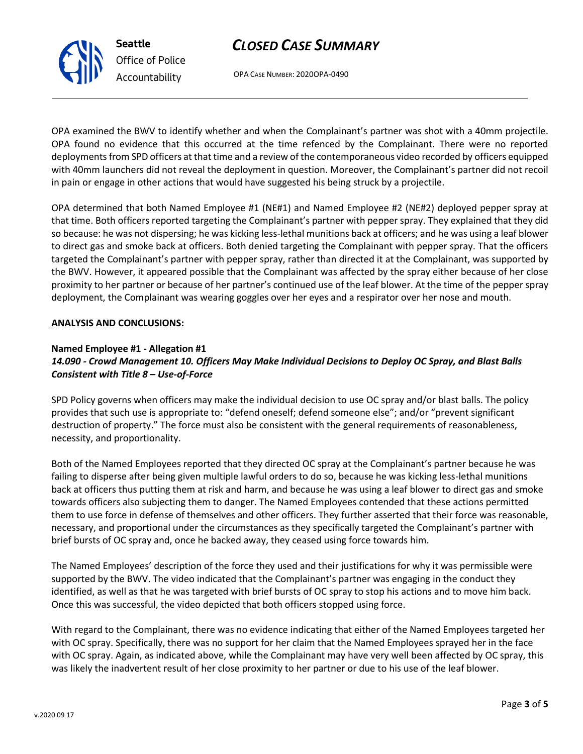## *CLOSED CASE SUMMARY*



OPA CASE NUMBER: 2020OPA-0490

OPA examined the BWV to identify whether and when the Complainant's partner was shot with a 40mm projectile. OPA found no evidence that this occurred at the time refenced by the Complainant. There were no reported deployments from SPD officers at that time and a review of the contemporaneous video recorded by officers equipped with 40mm launchers did not reveal the deployment in question. Moreover, the Complainant's partner did not recoil in pain or engage in other actions that would have suggested his being struck by a projectile.

OPA determined that both Named Employee #1 (NE#1) and Named Employee #2 (NE#2) deployed pepper spray at that time. Both officers reported targeting the Complainant's partner with pepper spray. They explained that they did so because: he was not dispersing; he was kicking less-lethal munitions back at officers; and he was using a leaf blower to direct gas and smoke back at officers. Both denied targeting the Complainant with pepper spray. That the officers targeted the Complainant's partner with pepper spray, rather than directed it at the Complainant, was supported by the BWV. However, it appeared possible that the Complainant was affected by the spray either because of her close proximity to her partner or because of her partner's continued use of the leaf blower. At the time of the pepper spray deployment, the Complainant was wearing goggles over her eyes and a respirator over her nose and mouth.

#### **ANALYSIS AND CONCLUSIONS:**

### **Named Employee #1 - Allegation #1** *14.090 - Crowd Management 10. Officers May Make Individual Decisions to Deploy OC Spray, and Blast Balls Consistent with Title 8 – Use-of-Force*

SPD Policy governs when officers may make the individual decision to use OC spray and/or blast balls. The policy provides that such use is appropriate to: "defend oneself; defend someone else"; and/or "prevent significant destruction of property." The force must also be consistent with the general requirements of reasonableness, necessity, and proportionality.

Both of the Named Employees reported that they directed OC spray at the Complainant's partner because he was failing to disperse after being given multiple lawful orders to do so, because he was kicking less-lethal munitions back at officers thus putting them at risk and harm, and because he was using a leaf blower to direct gas and smoke towards officers also subjecting them to danger. The Named Employees contended that these actions permitted them to use force in defense of themselves and other officers. They further asserted that their force was reasonable, necessary, and proportional under the circumstances as they specifically targeted the Complainant's partner with brief bursts of OC spray and, once he backed away, they ceased using force towards him.

The Named Employees' description of the force they used and their justifications for why it was permissible were supported by the BWV. The video indicated that the Complainant's partner was engaging in the conduct they identified, as well as that he was targeted with brief bursts of OC spray to stop his actions and to move him back. Once this was successful, the video depicted that both officers stopped using force.

With regard to the Complainant, there was no evidence indicating that either of the Named Employees targeted her with OC spray. Specifically, there was no support for her claim that the Named Employees sprayed her in the face with OC spray. Again, as indicated above, while the Complainant may have very well been affected by OC spray, this was likely the inadvertent result of her close proximity to her partner or due to his use of the leaf blower.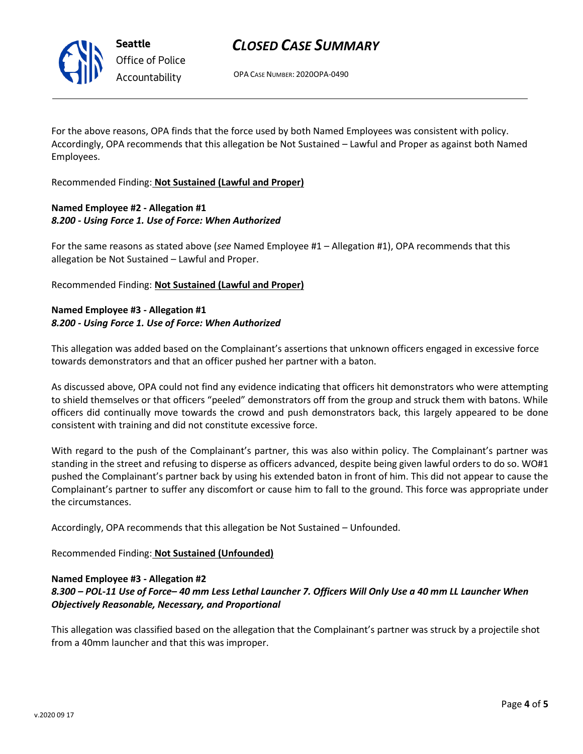## *CLOSED CASE SUMMARY*

OPA CASE NUMBER: 2020OPA-0490

For the above reasons, OPA finds that the force used by both Named Employees was consistent with policy. Accordingly, OPA recommends that this allegation be Not Sustained – Lawful and Proper as against both Named Employees.

Recommended Finding: **Not Sustained (Lawful and Proper)**

### **Named Employee #2 - Allegation #1** *8.200 - Using Force 1. Use of Force: When Authorized*

For the same reasons as stated above (*see* Named Employee #1 – Allegation #1), OPA recommends that this allegation be Not Sustained – Lawful and Proper.

Recommended Finding: **Not Sustained (Lawful and Proper)**

### **Named Employee #3 - Allegation #1** *8.200 - Using Force 1. Use of Force: When Authorized*

This allegation was added based on the Complainant's assertions that unknown officers engaged in excessive force towards demonstrators and that an officer pushed her partner with a baton.

As discussed above, OPA could not find any evidence indicating that officers hit demonstrators who were attempting to shield themselves or that officers "peeled" demonstrators off from the group and struck them with batons. While officers did continually move towards the crowd and push demonstrators back, this largely appeared to be done consistent with training and did not constitute excessive force.

With regard to the push of the Complainant's partner, this was also within policy. The Complainant's partner was standing in the street and refusing to disperse as officers advanced, despite being given lawful orders to do so. WO#1 pushed the Complainant's partner back by using his extended baton in front of him. This did not appear to cause the Complainant's partner to suffer any discomfort or cause him to fall to the ground. This force was appropriate under the circumstances.

Accordingly, OPA recommends that this allegation be Not Sustained – Unfounded.

Recommended Finding: **Not Sustained (Unfounded)**

#### **Named Employee #3 - Allegation #2**

## *8.300 – POL-11 Use of Force– 40 mm Less Lethal Launcher 7. Officers Will Only Use a 40 mm LL Launcher When Objectively Reasonable, Necessary, and Proportional*

This allegation was classified based on the allegation that the Complainant's partner was struck by a projectile shot from a 40mm launcher and that this was improper.



**Seattle** *Office of Police Accountability*